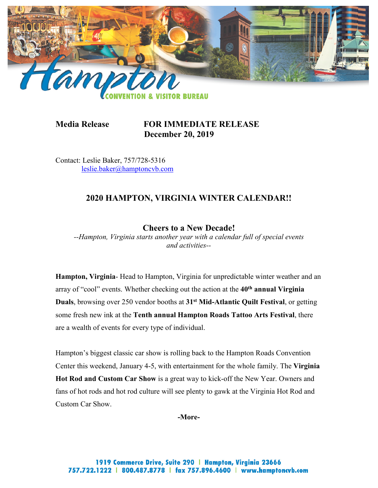

# **Media Release FOR IMMEDIATE RELEASE December 20, 2019**

Contact: Leslie Baker, 757/728-5316 [leslie.baker@hamptoncvb.com](mailto:elizabeth.severs@hamptoncvb.com)

# **2020 HAMPTON, VIRGINIA WINTER CALENDAR!!**

# **Cheers to a New Decade!**

*--Hampton, Virginia starts another year with a calendar full of special events and activities--*

**Hampton, Virginia**- Head to Hampton, Virginia for unpredictable winter weather and an array of "cool" events. Whether checking out the action at the **40th annual Virginia Duals**, browsing over 250 vendor booths at **31st Mid-Atlantic Quilt Festival**, or getting some fresh new ink at the **Tenth annual Hampton Roads Tattoo Arts Festival**, there are a wealth of events for every type of individual.

Hampton's biggest classic car show is rolling back to the Hampton Roads Convention Center this weekend, January 4-5, with entertainment for the whole family. The **Virginia Hot Rod and Custom Car Show** is a great way to kick-off the New Year. Owners and fans of hot rods and hot rod culture will see plenty to gawk at the Virginia Hot Rod and Custom Car Show.

#### **-More-**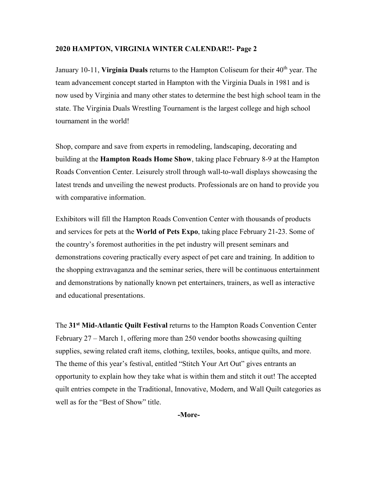January 10-11, Virginia Duals returns to the Hampton Coliseum for their 40<sup>th</sup> year. The team advancement concept started in Hampton with the Virginia Duals in 1981 and is now used by Virginia and many other states to determine the best high school team in the state. The Virginia Duals Wrestling Tournament is the largest college and high school tournament in the world!

Shop, compare and save from experts in remodeling, landscaping, decorating and building at the **Hampton Roads Home Show**, taking place February 8-9 at the Hampton Roads Convention Center. Leisurely stroll through wall-to-wall displays showcasing the latest trends and unveiling the newest products. Professionals are on hand to provide you with comparative information.

Exhibitors will fill the Hampton Roads Convention Center with thousands of products and services for pets at the **World of Pets Expo**, taking place February 21-23. Some of the country's foremost authorities in the pet industry will present seminars and demonstrations covering practically every aspect of pet care and training. In addition to the shopping extravaganza and the seminar series, there will be continuous entertainment and demonstrations by nationally known pet entertainers, trainers, as well as interactive and educational presentations.

The **31st Mid-Atlantic Quilt Festival** returns to the Hampton Roads Convention Center February 27 – March 1, offering more than 250 vendor booths showcasing quilting supplies, sewing related craft items, clothing, textiles, books, antique quilts, and more. The theme of this year's festival, entitled "Stitch Your Art Out" gives entrants an opportunity to explain how they take what is within them and stitch it out! The accepted quilt entries compete in the Traditional, Innovative, Modern, and Wall Quilt categories as well as for the "Best of Show" title.

**-More-**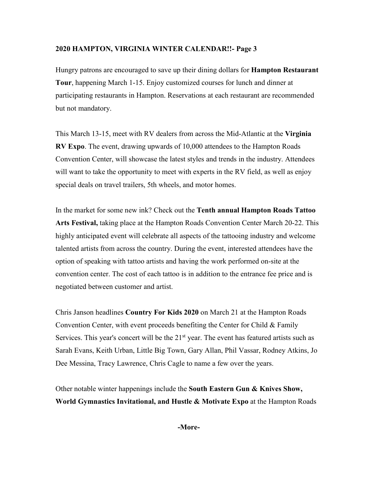Hungry patrons are encouraged to save up their dining dollars for **Hampton Restaurant Tour**, happening March 1-15. Enjoy customized courses for lunch and dinner at participating restaurants in Hampton. Reservations at each restaurant are recommended but not mandatory.

This March 13-15, meet with RV dealers from across the Mid-Atlantic at the **Virginia RV Expo**. The event, drawing upwards of 10,000 attendees to the Hampton Roads Convention Center, will showcase the latest styles and trends in the industry. Attendees will want to take the opportunity to meet with experts in the RV field, as well as enjoy special deals on travel trailers, 5th wheels, and motor homes.

In the market for some new ink? Check out the **Tenth annual Hampton Roads Tattoo Arts Festival,** taking place at the Hampton Roads Convention Center March 20-22. This highly anticipated event will celebrate all aspects of the tattooing industry and welcome talented artists from across the country. During the event, interested attendees have the option of speaking with tattoo artists and having the work performed on-site at the convention center. The cost of each tattoo is in addition to the entrance fee price and is negotiated between customer and artist.

Chris Janson headlines **Country For Kids 2020** on March 21 at the Hampton Roads Convention Center, with event proceeds benefiting the Center for Child & Family Services. This year's concert will be the  $21<sup>st</sup>$  year. The event has featured artists such as Sarah Evans, Keith Urban, Little Big Town, Gary Allan, Phil Vassar, Rodney Atkins, Jo Dee Messina, Tracy Lawrence, Chris Cagle to name a few over the years.

Other notable winter happenings include the **South Eastern Gun & Knives Show, World Gymnastics Invitational, and Hustle & Motivate Expo** at the Hampton Roads

**-More-**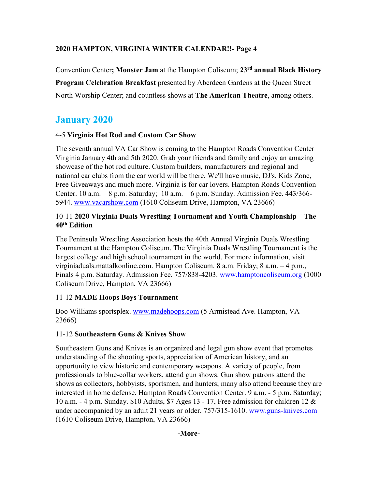Convention Center**; Monster Jam** at the Hampton Coliseum; **23rd annual Black History Program Celebration Breakfast** presented by Aberdeen Gardens at the Queen Street North Worship Center; and countless shows at **The American Theatre**, among others.

# **January 2020**

#### 4-5 **Virginia Hot Rod and Custom Car Show**

The seventh annual VA Car Show is coming to the Hampton Roads Convention Center Virginia January 4th and 5th 2020. Grab your friends and family and enjoy an amazing showcase of the hot rod culture. Custom builders, manufacturers and regional and national car clubs from the car world will be there. We'll have music, DJ's, Kids Zone, Free Giveaways and much more. Virginia is for car lovers. Hampton Roads Convention Center. 10 a.m. – 8 p.m. Saturday; 10 a.m. – 6 p.m. Sunday. Admission Fee. 443/366 5944. [www.vacarshow.com](http://www.vacarshow.com/) (1610 Coliseum Drive, Hampton, VA 23666)

#### 10-11 **2020 Virginia Duals Wrestling Tournament and Youth Championship – The 40th Edition**

The Peninsula Wrestling Association hosts the 40th Annual Virginia Duals Wrestling Tournament at the Hampton Coliseum. The Virginia Duals Wrestling Tournament is the largest college and high school tournament in the world. For more information, visit virginiaduals.mattalkonline.com. Hampton Coliseum. 8 a.m. Friday; 8 a.m. – 4 p.m., Finals 4 p.m. Saturday. Admission Fee. 757/838-4203. [www.hamptoncoliseum.org](http://www.hamptoncoliseum.org/) (1000 Coliseum Drive, Hampton, VA 23666)

# 11-12 **MADE Hoops Boys Tournament**

Boo Williams sportsplex. [www.madehoops.com](http://www.madehoops.com/) (5 Armistead Ave. Hampton, VA 23666)

# 11-12 **Southeastern Guns & Knives Show**

Southeastern Guns and Knives is an organized and legal gun show event that promotes understanding of the shooting sports, appreciation of American history, and an opportunity to view historic and contemporary weapons. A variety of people, from professionals to blue-collar workers, attend gun shows. Gun show patrons attend the shows as collectors, hobbyists, sportsmen, and hunters; many also attend because they are interested in home defense. Hampton Roads Convention Center. 9 a.m. - 5 p.m. Saturday; 10 a.m. - 4 p.m. Sunday. \$10 Adults, \$7 Ages 13 - 17, Free admission for children 12 & under accompanied by an adult 21 years or older. 757/315-1610. [www.guns-knives.com](http://www.guns-knives.comn/) (1610 Coliseum Drive, Hampton, VA 23666)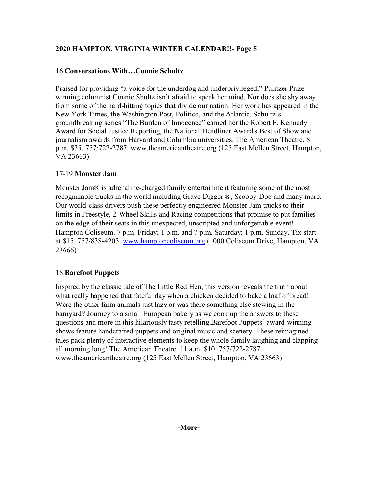## 16 **Conversations With…Connie Schultz**

Praised for providing "a voice for the underdog and underprivileged," Pulitzer Prizewinning columnist Connie Shultz isn't afraid to speak her mind. Nor does she shy away from some of the hard-hitting topics that divide our nation. Her work has appeared in the New York Times, the Washington Post, Politico, and the Atlantic. Schultz's groundbreaking series "The Burden of Innocence" earned her the Robert F. Kennedy Award for Social Justice Reporting, the National Headliner Award's Best of Show and journalism awards from Harvard and Columbia universities. The American Theatre. 8 p.m. \$35. 757/722-2787. www.theamericantheatre.org (125 East Mellen Street, Hampton, VA 23663)

#### 17-19 **Monster Jam**

Monster Jam® is adrenaline-charged family entertainment featuring some of the most recognizable trucks in the world including Grave Digger ®, Scooby-Doo and many more. Our world-class drivers push these perfectly engineered Monster Jam trucks to their limits in Freestyle, 2-Wheel Skills and Racing competitions that promise to put families on the edge of their seats in this unexpected, unscripted and unforgettable event! Hampton Coliseum. 7 p.m. Friday; 1 p.m. and 7 p.m. Saturday; 1 p.m. Sunday. Tix start at \$15. 757/838-4203. [www.hamptoncoliseum.org](http://www.hamptoncoliseum.org/) (1000 Coliseum Drive, Hampton, VA 23666)

#### 18 **Barefoot Puppets**

Inspired by the classic tale of The Little Red Hen, this version reveals the truth about what really happened that fateful day when a chicken decided to bake a loaf of bread! Were the other farm animals just lazy or was there something else stewing in the barnyard? Journey to a small European bakery as we cook up the answers to these questions and more in this hilariously tasty retelling.Barefoot Puppets' award-winning shows feature handcrafted puppets and original music and scenery. These reimagined tales pack plenty of interactive elements to keep the whole family laughing and clapping all morning long! The American Theatre. 11 a.m. \$10. 757/722-2787. www.theamericantheatre.org (125 East Mellen Street, Hampton, VA 23663)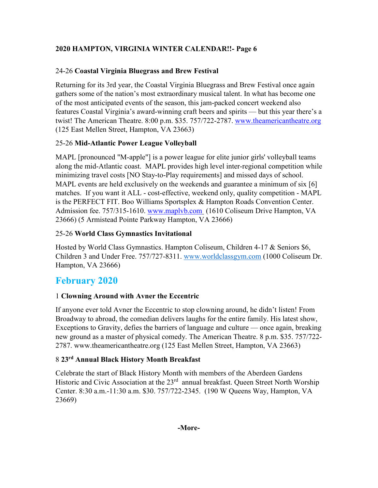# 24-26 **Coastal Virginia Bluegrass and Brew Festival**

Returning for its 3rd year, the Coastal Virginia Bluegrass and Brew Festival once again gathers some of the nation's most extraordinary musical talent. In what has become one of the most anticipated events of the season, this jam-packed concert weekend also features Coastal Virginia's award-winning craft beers and spirits — but this year there's a twist! The American Theatre. 8:00 p.m. \$35. 757/722-2787. www.theamericantheatre.org (125 East Mellen Street, Hampton, VA 23663)

# 25-26 **Mid-Atlantic Power League Volleyball**

MAPL [pronounced "M-apple"] is a power league for elite junior girls' volleyball teams along the mid-Atlantic coast. MAPL provides high level inter-regional competition while minimizing travel costs [NO Stay-to-Play requirements] and missed days of school. MAPL events are held exclusively on the weekends and guarantee a minimum of six  $[6]$ matches. If you want it ALL - cost-effective, weekend only, quality competition - MAPL is the PERFECT FIT. Boo Williams Sportsplex & Hampton Roads Convention Center. Admission fee. 757/315-1610. [www.maplvb.com](http://www.maplvb.com/) (1610 Coliseum Drive Hampton, VA 23666) (5 Armistead Pointe Parkway Hampton, VA 23666)

## 25-26 **World Class Gymnastics Invitational**

Hosted by World Class Gymnastics. Hampton Coliseum, Children 4-17 & Seniors \$6, Children 3 and Under Free. 757/727-8311. [www.worldclassgym.com](http://www.worldclassgym.com/) (1000 Coliseum Dr. Hampton, VA 23666)

# **February 2020**

# 1 **Clowning Around with Avner the Eccentric**

If anyone ever told Avner the Eccentric to stop clowning around, he didn't listen! From Broadway to abroad, the comedian delivers laughs for the entire family. His latest show, Exceptions to Gravity, defies the barriers of language and culture — once again, breaking new ground as a master of physical comedy. The American Theatre. 8 p.m. \$35. 757/722- 2787. www.theamericantheatre.org (125 East Mellen Street, Hampton, VA 23663)

# 8 **23rd Annual Black History Month Breakfast**

Celebrate the start of Black History Month with members of the Aberdeen Gardens Historic and Civic Association at the 23<sup>rd</sup> annual breakfast. Queen Street North Worship Center. 8:30 a.m.-11:30 a.m. \$30. 757/722-2345. (190 W Queens Way, Hampton, VA 23669)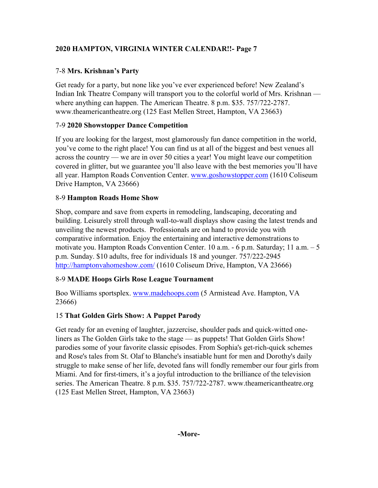# 7-8 **Mrs. Krishnan's Party**

Get ready for a party, but none like you've ever experienced before! New Zealand's Indian Ink Theatre Company will transport you to the colorful world of Mrs. Krishnan where anything can happen. The American Theatre. 8 p.m. \$35. 757/722-2787. www.theamericantheatre.org (125 East Mellen Street, Hampton, VA 23663)

# 7-9 **2020 Showstopper Dance Competition**

If you are looking for the largest, most glamorously fun dance competition in the world, you've come to the right place! You can find us at all of the biggest and best venues all across the country — we are in over 50 cities a year! You might leave our competition covered in glitter, but we guarantee you'll also leave with the best memories you'll have all year. Hampton Roads Convention Center. [www.goshowstopper.com](http://www.goshowstopper.com/) (1610 Coliseum Drive Hampton, VA 23666)

# 8-9 **Hampton Roads Home Show**

Shop, compare and save from experts in remodeling, landscaping, decorating and building. Leisurely stroll through wall-to-wall displays show casing the latest trends and unveiling the newest products. Professionals are on hand to provide you with comparative information. Enjoy the entertaining and interactive demonstrations to motivate you. Hampton Roads Convention Center. 10 a.m. - 6 p.m. Saturday; 11 a.m. – 5 p.m. Sunday. \$10 adults, free for individuals 18 and younger. 757/222-2945 <http://hamptonvahomeshow.com/> (1610 Coliseum Drive, Hampton, VA 23666)

# 8-9 **MADE Hoops Girls Rose League Tournament**

Boo Williams sportsplex. [www.madehoops.com](http://www.madehoops.com/) (5 Armistead Ave. Hampton, VA 23666)

# 15 **That Golden Girls Show: A Puppet Parody**

Get ready for an evening of laughter, jazzercise, shoulder pads and quick-witted oneliners as The Golden Girls take to the stage — as puppets! That Golden Girls Show! parodies some of your favorite classic episodes. From Sophia's get-rich-quick schemes and Rose's tales from St. Olaf to Blanche's insatiable hunt for men and Dorothy's daily struggle to make sense of her life, devoted fans will fondly remember our four girls from Miami. And for first-timers, it's a joyful introduction to the brilliance of the television series. The American Theatre. 8 p.m. \$35. 757/722-2787. www.theamericantheatre.org (125 East Mellen Street, Hampton, VA 23663)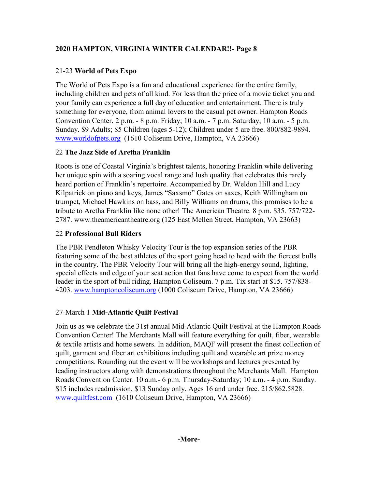# 21-23 **World of Pets Expo**

The World of Pets Expo is a fun and educational experience for the entire family, including children and pets of all kind. For less than the price of a movie ticket you and your family can experience a full day of education and entertainment. There is truly something for everyone, from animal lovers to the casual pet owner. Hampton Roads Convention Center. 2 p.m. - 8 p.m. Friday; 10 a.m. - 7 p.m. Saturday; 10 a.m. - 5 p.m. Sunday. \$9 Adults; \$5 Children (ages 5-12); Children under 5 are free. 800/882-9894. [www.worldofpets.org](http://www.worldofpets.org/) (1610 Coliseum Drive, Hampton, VA 23666)

# 22 **The Jazz Side of Aretha Franklin**

Roots is one of Coastal Virginia's brightest talents, honoring Franklin while delivering her unique spin with a soaring vocal range and lush quality that celebrates this rarely heard portion of Franklin's repertoire. Accompanied by Dr. Weldon Hill and Lucy Kilpatrick on piano and keys, James "Saxsmo" Gates on saxes, Keith Willingham on trumpet, Michael Hawkins on bass, and Billy Williams on drums, this promises to be a tribute to Aretha Franklin like none other! The American Theatre. 8 p.m. \$35. 757/722- 2787. www.theamericantheatre.org (125 East Mellen Street, Hampton, VA 23663)

# 22 **Professional Bull Riders**

The PBR Pendleton Whisky Velocity Tour is the top expansion series of the PBR featuring some of the best athletes of the sport going head to head with the fiercest bulls in the country. The PBR Velocity Tour will bring all the high-energy sound, lighting, special effects and edge of your seat action that fans have come to expect from the world leader in the sport of bull riding. Hampton Coliseum. 7 p.m. Tix start at \$15. 757/838 4203. [www.hamptoncoliseum.org](http://www.hamptoncoliseum.org/) (1000 Coliseum Drive, Hampton, VA 23666)

# 27-March 1 **Mid-Atlantic Quilt Festival**

Join us as we celebrate the 31st annual Mid-Atlantic Quilt Festival at the Hampton Roads Convention Center! The Merchants Mall will feature everything for quilt, fiber, wearable & textile artists and home sewers. In addition, MAQF will present the finest collection of quilt, garment and fiber art exhibitions including quilt and wearable art prize money competitions. Rounding out the event will be workshops and lectures presented by leading instructors along with demonstrations throughout the Merchants Mall. Hampton Roads Convention Center. 10 a.m.- 6 p.m. Thursday-Saturday; 10 a.m. - 4 p.m. Sunday. \$15 includes readmission, \$13 Sunday only, Ages 16 and under free. 215/862.5828. [www.quiltfest.com](http://www.quiltfest.com/) (1610 Coliseum Drive, Hampton, VA 23666)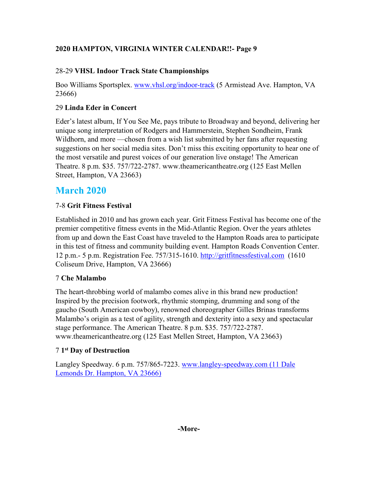# 28-29 **VHSL Indoor Track State Championships**

Boo Williams Sportsplex. [www.vhsl.org/indoor-track](http://www.vhsl.org/indoor-track) (5 Armistead Ave. Hampton, VA 23666)

# 29 **Linda Eder in Concert**

Eder's latest album, If You See Me, pays tribute to Broadway and beyond, delivering her unique song interpretation of Rodgers and Hammerstein, Stephen Sondheim, Frank Wildhorn, and more —chosen from a wish list submitted by her fans after requesting suggestions on her social media sites. Don't miss this exciting opportunity to hear one of the most versatile and purest voices of our generation live onstage! The American Theatre. 8 p.m. \$35. 757/722-2787. www.theamericantheatre.org (125 East Mellen Street, Hampton, VA 23663)

# **March 2020**

# 7-8 **Grit Fitness Festival**

Established in 2010 and has grown each year. Grit Fitness Festival has become one of the premier competitive fitness events in the Mid-Atlantic Region. Over the years athletes from up and down the East Coast have traveled to the Hampton Roads area to participate in this test of fitness and community building event. Hampton Roads Convention Center. 12 p.m.- 5 p.m. Registration Fee. 757/315-1610. http://gritfitnessfestival.com (1610 Coliseum Drive, Hampton, VA 23666)

# 7 **Che Malambo**

The heart-throbbing world of malambo comes alive in this brand new production! Inspired by the precision footwork, rhythmic stomping, drumming and song of the gaucho (South American cowboy), renowned choreographer Gilles Brinas transforms Malambo's origin as a test of agility, strength and dexterity into a sexy and spectacular stage performance. The American Theatre. 8 p.m. \$35. 757/722-2787. www.theamericantheatre.org (125 East Mellen Street, Hampton, VA 23663)

# 7 **1st Day of Destruction**

Langley Speedway. 6 p.m. 757/865-7223. [www.langley-speedway.com](http://www.langley-speedway.com/) (11 Dale Lemonds Dr. Hampton, VA 23666)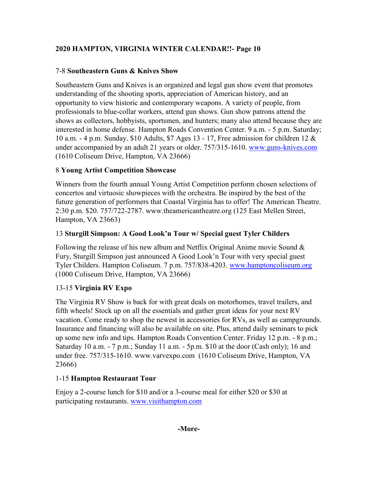## 7-8 **Southeastern Guns & Knives Show**

Southeastern Guns and Knives is an organized and legal gun show event that promotes understanding of the shooting sports, appreciation of American history, and an opportunity to view historic and contemporary weapons. A variety of people, from professionals to blue-collar workers, attend gun shows. Gun show patrons attend the shows as collectors, hobbyists, sportsmen, and hunters; many also attend because they are interested in home defense. Hampton Roads Convention Center. 9 a.m. - 5 p.m. Saturday; 10 a.m. - 4 p.m. Sunday. \$10 Adults, \$7 Ages 13 - 17, Free admission for children 12 & under accompanied by an adult 21 years or older. 757/315-1610. [www.guns-knives.com](http://www.guns-knives.comn/) (1610 Coliseum Drive, Hampton, VA 23666)

## 8 **Young Artist Competition Showcase**

Winners from the fourth annual Young Artist Competition perform chosen selections of concertos and virtuosic showpieces with the orchestra. Be inspired by the best of the future generation of performers that Coastal Virginia has to offer! The American Theatre. 2:30 p.m. \$20. 757/722-2787. www.theamericantheatre.org (125 East Mellen Street, Hampton, VA 23663)

## 13 **Sturgill Simpson: A Good Look'n Tour w/ Special guest Tyler Childers**

Following the release of his new album and Netflix Original Anime movie Sound  $\&$ Fury, Sturgill Simpson just announced A Good Look'n Tour with very special guest Tyler Childers. Hampton Coliseum. 7 p.m. 757/838-4203. [www.hamptoncoliseum.org](http://www.hamptoncoliseum.org/) (1000 Coliseum Drive, Hampton, VA 23666)

# 13-15 **Virginia RV Expo**

The Virginia RV Show is back for with great deals on motorhomes, travel trailers, and fifth wheels! Stock up on all the essentials and gather great ideas for your next RV vacation. Come ready to shop the newest in accessories for RVs, as well as campgrounds. Insurance and financing will also be available on site. Plus, attend daily seminars to pick up some new info and tips. Hampton Roads Convention Center. Friday 12 p.m. - 8 p.m.; Saturday 10 a.m. - 7 p.m.; Sunday 11 a.m. - 5p.m. \$10 at the door (Cash only); 16 and under free. 757/315-1610. www.varvexpo.com (1610 Coliseum Drive, Hampton, VA 23666)

# 1-15 **Hampton Restaurant Tour**

Enjoy a 2-course lunch for \$10 and/or a 3-course meal for either \$20 or \$30 at participating restaurants. [www.visithampton.com](http://www.visithampton.com/)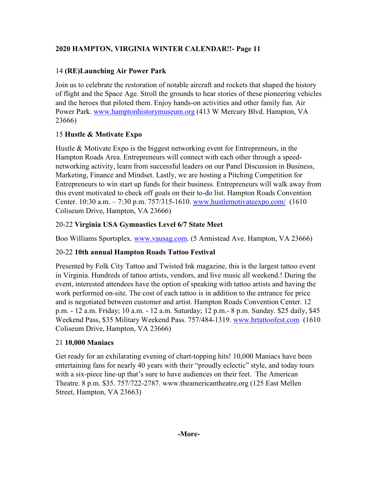# 14 **(RE)Launching Air Power Park**

Join us to celebrate the restoration of notable aircraft and rockets that shaped the history of flight and the Space Age. Stroll the grounds to hear stories of these pioneering vehicles and the heroes that piloted them. Enjoy hands-on activities and other family fun. Air Power Park. [www.hamptonhistorymuseum.org](http://www.hamptonhistorymuseum.org/) (413 W Mercury Blvd. Hampton, VA 23666)

# 15 **Hustle & Motivate Expo**

Hustle & Motivate Expo is the biggest networking event for Entrepreneurs, in the Hampton Roads Area. Entrepreneurs will connect with each other through a speednetworking activity, learn from successful leaders on our Panel Discussion in Business, Marketing, Finance and Mindset. Lastly, we are hosting a Pitching Competition for Entrepreneurs to win start up funds for their business. Entrepreneurs will walk away from this event motivated to check off goals on their to-do list. Hampton Roads Convention Center. 10:30 a.m. – 7:30 p.m. 757/315-1610. [www.hustlemotivateexpo.com/](http://www.hustlemotivateexpo.com/) (1610) Coliseum Drive, Hampton, VA 23666)

# 20-22 **Virginia USA Gymnastics Level 6/7 State Meet**

Boo Williams Sportsplex. [www.vausag.com.](http://www.vausag.com/) (5 Armistead Ave. Hampton, VA 23666)

# 20-22 **10th annual Hampton Roads Tattoo Festival**

Presented by Folk City Tattoo and Twisted Ink magazine, this is the largest tattoo event in Virginia. Hundreds of tattoo artists, vendors, and live music all weekend.! During the event, interested attendees have the option of speaking with tattoo artists and having the work performed on-site. The cost of each tattoo is in addition to the entrance fee price and is negotiated between customer and artist. Hampton Roads Convention Center. 12 p.m. - 12 a.m. Friday; 10 a.m. - 12 a.m. Saturday; 12 p.m.- 8 p.m. Sunday. \$25 daily, \$45 Weekend Pass, \$35 Military Weekend Pass. 757/484-1319. [www.hrtattoofest.com](http://www.hrtattoofest.com/) (1610 Coliseum Drive, Hampton, VA 23666)

# 21 **10,000 Maniacs**

Get ready for an exhilarating evening of chart-topping hits! 10,000 Maniacs have been entertaining fans for nearly 40 years with their "proudly eclectic" style, and today tours with a six-piece line-up that's sure to have audiences on their feet. The American Theatre. 8 p.m. \$35. 757/722-2787. www.theamericantheatre.org (125 East Mellen Street, Hampton, VA 23663)